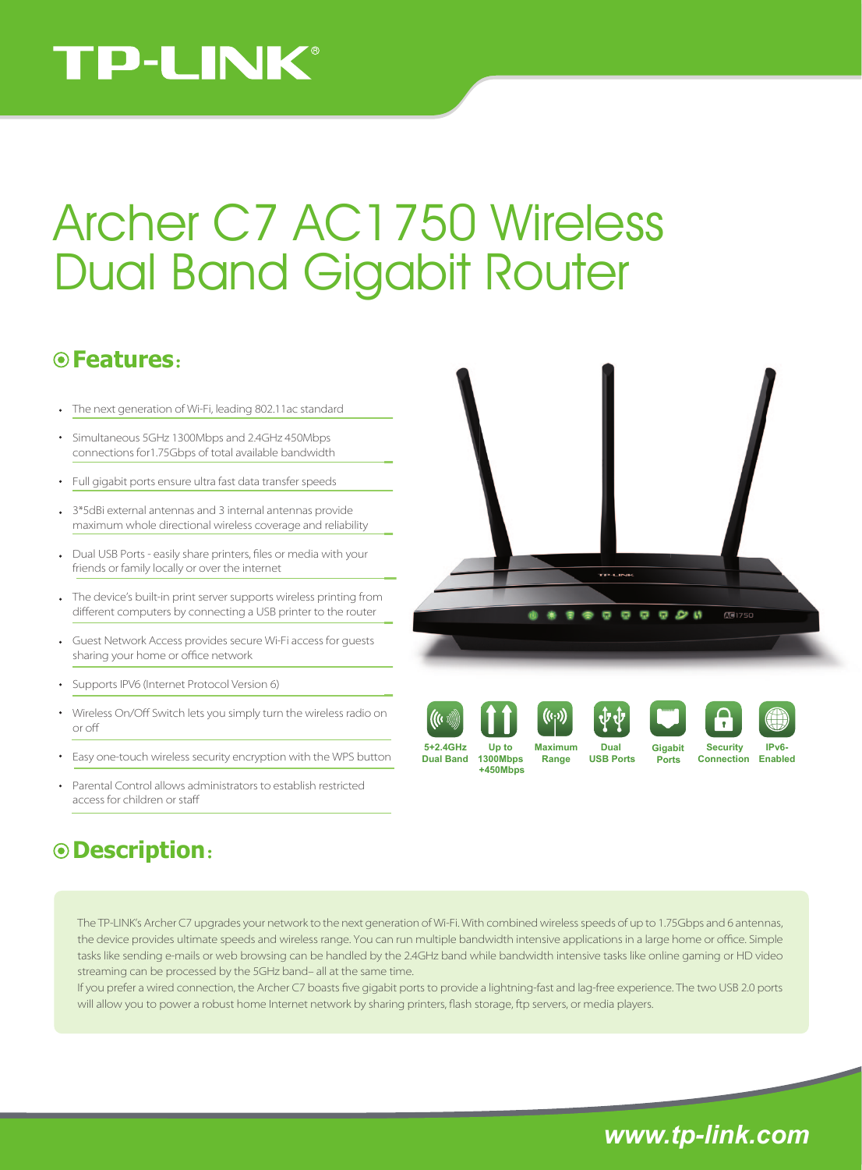## **TP-LINK®**

# Archer C7 AC1750 Wireless Dual Band Gigabit Router

### **Features**:

- The next generation of Wi-Fi, leading 802.11ac standard
- Simultaneous 5GHz 1300Mbps and 2.4GHz 450Mbps connections for1.75Gbps of total available bandwidth
- Full gigabit ports ensure ultra fast data transfer speeds
- 3\*5dBi external antennas and 3 internal antennas provide maximum whole directional wireless coverage and reliability
- Dual USB Ports easily share printers, files or media with your friends or family locally or over the internet
- The device's built-in print server supports wireless printing from different computers by connecting a USB printer to the router
- Guest Network Access provides secure Wi-Fi access for guests sharing your home or office network
- Supports IPV6 (Internet Protocol Version 6)
- Wireless On/Off Switch lets you simply turn the wireless radio on or o
- Easy one-touch wireless security encryption with the WPS button
- Parental Control allows administrators to establish restricted access for children or sta

#### **Description**:

 $A = 1750$ Ø



**1300Mbps +450Mbps**



**Range**



**USB Ports**







**Ports**



**Security 5+2.4GHz IPv6-**

**Dual Band** 1300Mbps Range USB Ports Ports Connection Enabled

The TP-LINK's Archer C7 upgrades your network to the next generation of Wi-Fi. With combined wireless speeds of up to 1.75Gbps and 6 antennas, the device provides ultimate speeds and wireless range. You can run multiple bandwidth intensive applications in a large home or office. Simple tasks like sending e-mails or web browsing can be handled by the 2.4GHz band while bandwidth intensive tasks like online gaming or HD video streaming can be processed by the 5GHz band– all at the same time.

If you prefer a wired connection, the Archer C7 boasts five gigabit ports to provide a lightning-fast and lag-free experience. The two USB 2.0 ports will allow you to power a robust home Internet network by sharing printers, flash storage, ftp servers, or media players.

*www.tp-link.com*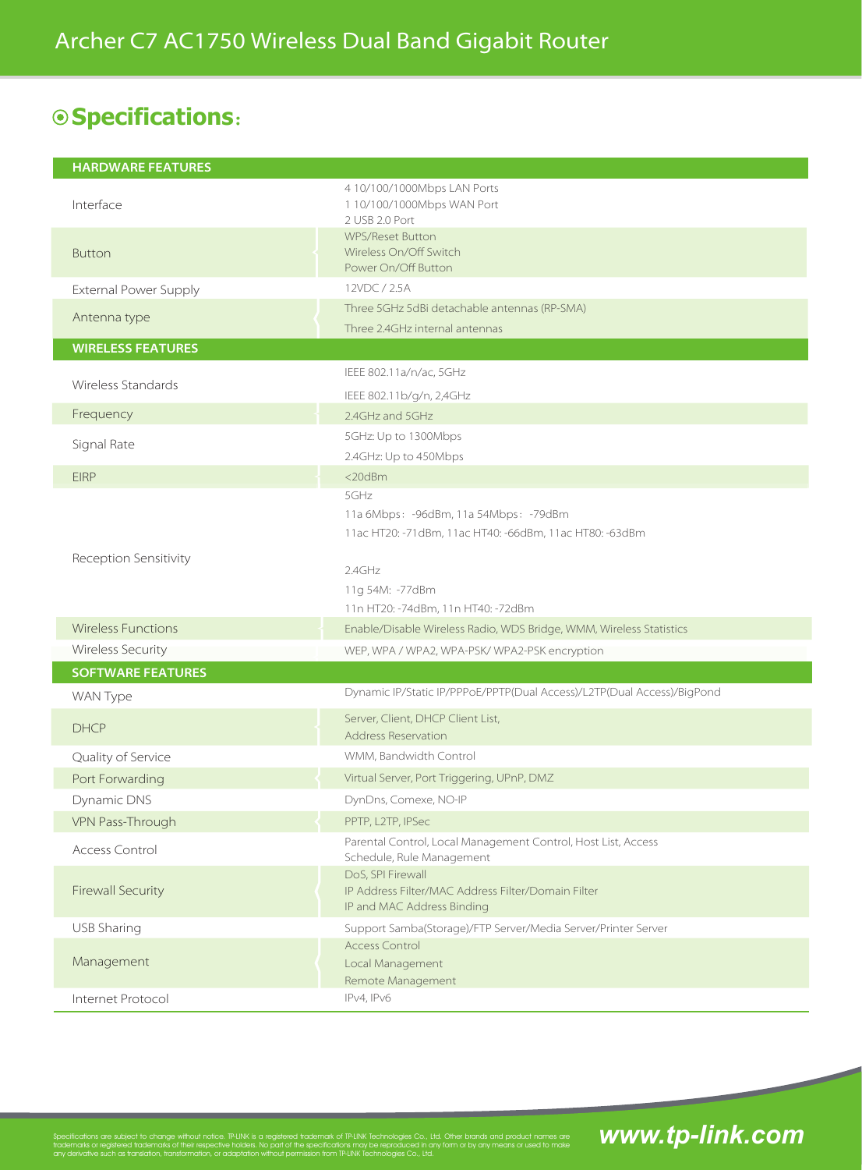## **Specifications**:

| <b>HARDWARE FEATURES</b>     |                                                                                                          |
|------------------------------|----------------------------------------------------------------------------------------------------------|
| Interface                    | 4 10/100/1000Mbps LAN Ports<br>1 10/100/1000Mbps WAN Port<br>2 USB 2.0 Port                              |
| <b>Button</b>                | <b>WPS/Reset Button</b><br>Wireless On/Off Switch<br>Power On/Off Button                                 |
| <b>External Power Supply</b> | 12VDC / 2.5A                                                                                             |
| Antenna type                 | Three 5GHz 5dBi detachable antennas (RP-SMA)                                                             |
|                              | Three 2.4GHz internal antennas                                                                           |
| <b>WIRELESS FEATURES</b>     |                                                                                                          |
| Wireless Standards           | IEEE 802.11a/n/ac, 5GHz                                                                                  |
|                              | IEEE 802.11b/g/n, 2,4GHz                                                                                 |
| Frequency                    | 2.4GHz and 5GHz                                                                                          |
| Signal Rate                  | 5GHz: Up to 1300Mbps                                                                                     |
|                              | 2.4GHz: Up to 450Mbps                                                                                    |
| <b>EIRP</b>                  | <20dBm                                                                                                   |
| Reception Sensitivity        | 5GHz<br>11a 6Mbps: -96dBm, 11a 54Mbps: -79dBm<br>11ac HT20: -71dBm, 11ac HT40: -66dBm, 11ac HT80: -63dBm |
|                              | 2.4GHz<br>11g 54M: -77dBm<br>11n HT20: -74dBm, 11n HT40: -72dBm                                          |
| <b>Wireless Functions</b>    | Enable/Disable Wireless Radio, WDS Bridge, WMM, Wireless Statistics                                      |
| Wireless Security            | WEP, WPA / WPA2, WPA-PSK/ WPA2-PSK encryption                                                            |
| <b>SOFTWARE FEATURES</b>     |                                                                                                          |
| WAN Type                     | Dynamic IP/Static IP/PPPoE/PPTP(Dual Access)/L2TP(Dual Access)/BigPond                                   |
| <b>DHCP</b>                  | Server, Client, DHCP Client List,<br><b>Address Reservation</b>                                          |
| Quality of Service           | WMM, Bandwidth Control                                                                                   |
| Port Forwarding              | Virtual Server, Port Triggering, UPnP, DMZ                                                               |
| Dynamic DNS                  | DynDns, Comexe, NO-IP                                                                                    |
| VPN Pass-Through             | PPTP, L2TP, IPSec                                                                                        |
| Access Control               | Parental Control, Local Management Control, Host List, Access<br>Schedule, Rule Management               |
| <b>Firewall Security</b>     | DoS, SPI Firewall<br>IP Address Filter/MAC Address Filter/Domain Filter<br>IP and MAC Address Binding    |
| USB Sharing                  | Support Samba(Storage)/FTP Server/Media Server/Printer Server                                            |
| Management                   | <b>Access Control</b><br>Local Management<br>Remote Management                                           |
| Internet Protocol            | IPv4, IPv6                                                                                               |

Specifications are subject to change without notice. TP-LINK is a registered trademark of TP-LINK Technologies Co., Ltd. Other brands and product names are

lemarks of their respective holde<br>ation, transformation, or adaptat